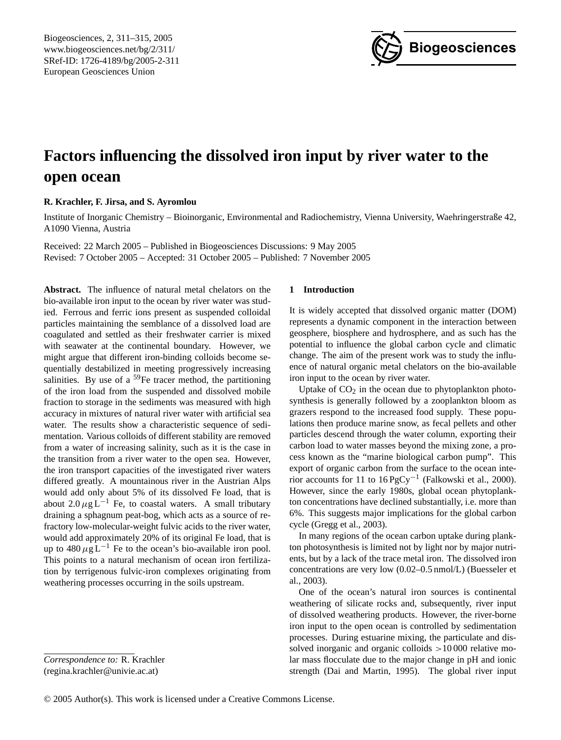Biogeosciences, 2, 311[–315,](#page-0-0) 2005 www.biogeosciences.net/bg/2/311/ SRef-ID: 1726-4189/bg/2005-2-311 European Geosciences Union



# **Factors influencing the dissolved iron input by river water to the open ocean**

## **R. Krachler, F. Jirsa, and S. Ayromlou**

Institute of Inorganic Chemistry – Bioinorganic, Environmental and Radiochemistry, Vienna University, Waehringerstraße 42, A1090 Vienna, Austria

Received: 22 March 2005 – Published in Biogeosciences Discussions: 9 May 2005 Revised: 7 October 2005 – Accepted: 31 October 2005 – Published: 7 November 2005

**Abstract.** The influence of natural metal chelators on the bio-available iron input to the ocean by river water was studied. Ferrous and ferric ions present as suspended colloidal particles maintaining the semblance of a dissolved load are coagulated and settled as their freshwater carrier is mixed with seawater at the continental boundary. However, we might argue that different iron-binding colloids become sequentially destabilized in meeting progressively increasing salinities. By use of a  $59$ Fe tracer method, the partitioning of the iron load from the suspended and dissolved mobile fraction to storage in the sediments was measured with high accuracy in mixtures of natural river water with artificial sea water. The results show a characteristic sequence of sedimentation. Various colloids of different stability are removed from a water of increasing salinity, such as it is the case in the transition from a river water to the open sea. However, the iron transport capacities of the investigated river waters differed greatly. A mountainous river in the Austrian Alps would add only about 5% of its dissolved Fe load, that is about  $2.0 \mu g L^{-1}$  Fe, to coastal waters. A small tributary draining a sphagnum peat-bog, which acts as a source of refractory low-molecular-weight fulvic acids to the river water, would add approximately 20% of its original Fe load, that is up to  $480 \mu g L^{-1}$  Fe to the ocean's bio-available iron pool. This points to a natural mechanism of ocean iron fertilization by terrigenous fulvic-iron complexes originating from weathering processes occurring in the soils upstream.

### **1 Introduction**

It is widely accepted that dissolved organic matter (DOM) represents a dynamic component in the interaction between geosphere, biosphere and hydrosphere, and as such has the potential to influence the global carbon cycle and climatic change. The aim of the present work was to study the influence of natural organic metal chelators on the bio-available iron input to the ocean by river water.

Uptake of  $CO<sub>2</sub>$  in the ocean due to phytoplankton photosynthesis is generally followed by a zooplankton bloom as grazers respond to the increased food supply. These populations then produce marine snow, as fecal pellets and other particles descend through the water column, exporting their carbon load to water masses beyond the mixing zone, a process known as the "marine biological carbon pump". This export of organic carbon from the surface to the ocean interior accounts for 11 to 16 PgCy−<sup>1</sup> (Falkowski et al., 2000). However, since the early 1980s, global ocean phytoplankton concentrations have declined substantially, i.e. more than 6%. This suggests major implications for the global carbon cycle (Gregg et al., 2003).

In many regions of the ocean carbon uptake during plankton photosynthesis is limited not by light nor by major nutrients, but by a lack of the trace metal iron. The dissolved iron concentrations are very low (0.02–0.5 nmol/L) (Buesseler et al., 2003).

One of the ocean's natural iron sources is continental weathering of silicate rocks and, subsequently, river input of dissolved weathering products. However, the river-borne iron input to the open ocean is controlled by sedimentation processes. During estuarine mixing, the particulate and dissolved inorganic and organic colloids >10 000 relative molar mass flocculate due to the major change in pH and ionic strength (Dai and Martin, 1995). The global river input

<span id="page-0-0"></span>*Correspondence to:* R. Krachler (regina.krachler@univie.ac.at)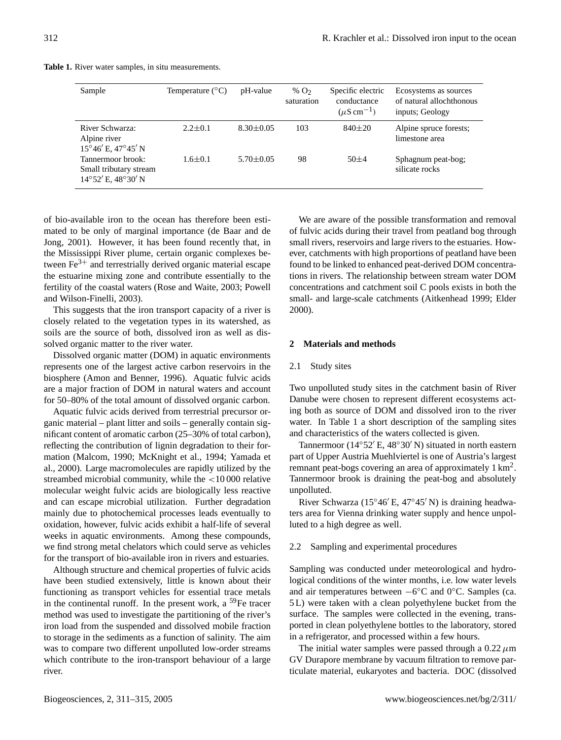|  | Table 1. River water samples, in situ measurements. |
|--|-----------------------------------------------------|
|--|-----------------------------------------------------|

| Sample                                                                  | Temperature $(^{\circ}C)$ | pH-value        | % $O2$<br>saturation | Specific electric<br>conductance<br>$(\mu S \text{ cm}^{-1})$ | Ecosystems as sources<br>of natural allochthonous<br>inputs; Geology |
|-------------------------------------------------------------------------|---------------------------|-----------------|----------------------|---------------------------------------------------------------|----------------------------------------------------------------------|
| River Schwarza:<br>Alpine river<br>$15^{\circ}46'$ E, $47^{\circ}45'$ N | $2.2 \pm 0.1$             | $8.30 \pm 0.05$ | 103                  | $840\pm20$                                                    | Alpine spruce forests;<br>limestone area                             |
| Tannermoor brook:<br>Small tributary stream<br>14°52' E, 48°30' N       | $1.6 \pm 0.1$             | $5.70 \pm 0.05$ | 98                   | $50+4$                                                        | Sphagnum peat-bog;<br>silicate rocks                                 |

of bio-available iron to the ocean has therefore been estimated to be only of marginal importance (de Baar and de Jong, 2001). However, it has been found recently that, in the Mississippi River plume, certain organic complexes between  $\text{Fe}^{3+}$  and terrestrially derived organic material escape the estuarine mixing zone and contribute essentially to the fertility of the coastal waters (Rose and Waite, 2003; Powell and Wilson-Finelli, 2003).

This suggests that the iron transport capacity of a river is closely related to the vegetation types in its watershed, as soils are the source of both, dissolved iron as well as dissolved organic matter to the river water.

Dissolved organic matter (DOM) in aquatic environments represents one of the largest active carbon reservoirs in the biosphere (Amon and Benner, 1996). Aquatic fulvic acids are a major fraction of DOM in natural waters and account for 50–80% of the total amount of dissolved organic carbon.

Aquatic fulvic acids derived from terrestrial precursor organic material – plant litter and soils – generally contain significant content of aromatic carbon (25–30% of total carbon), reflecting the contribution of lignin degradation to their formation (Malcom, 1990; McKnight et al., 1994; Yamada et al., 2000). Large macromolecules are rapidly utilized by the streambed microbial community, while the <10 000 relative molecular weight fulvic acids are biologically less reactive and can escape microbial utilization. Further degradation mainly due to photochemical processes leads eventually to oxidation, however, fulvic acids exhibit a half-life of several weeks in aquatic environments. Among these compounds, we find strong metal chelators which could serve as vehicles for the transport of bio-available iron in rivers and estuaries.

Although structure and chemical properties of fulvic acids have been studied extensively, little is known about their functioning as transport vehicles for essential trace metals in the continental runoff. In the present work, a <sup>59</sup>Fe tracer method was used to investigate the partitioning of the river's iron load from the suspended and dissolved mobile fraction to storage in the sediments as a function of salinity. The aim was to compare two different unpolluted low-order streams which contribute to the iron-transport behaviour of a large river.

We are aware of the possible transformation and removal of fulvic acids during their travel from peatland bog through small rivers, reservoirs and large rivers to the estuaries. However, catchments with high proportions of peatland have been found to be linked to enhanced peat-derived DOM concentrations in rivers. The relationship between stream water DOM concentrations and catchment soil C pools exists in both the small- and large-scale catchments (Aitkenhead 1999; Elder 2000).

## **2 Materials and methods**

## 2.1 Study sites

Two unpolluted study sites in the catchment basin of River Danube were chosen to represent different ecosystems acting both as source of DOM and dissolved iron to the river water. In Table 1 a short description of the sampling sites and characteristics of the waters collected is given.

Tannermoor ( $14°52'$  E,  $48°30'$  N) situated in north eastern part of Upper Austria Muehlviertel is one of Austria's largest remnant peat-bogs covering an area of approximately  $1 \text{ km}^2$ . Tannermoor brook is draining the peat-bog and absolutely unpolluted.

River Schwarza (15°46′ E, 47°45′ N) is draining headwaters area for Vienna drinking water supply and hence unpolluted to a high degree as well.

#### 2.2 Sampling and experimental procedures

Sampling was conducted under meteorological and hydrological conditions of the winter months, i.e. low water levels and air temperatures between −6 ◦C and 0◦C. Samples (ca. 5 L) were taken with a clean polyethylene bucket from the surface. The samples were collected in the evening, transported in clean polyethylene bottles to the laboratory, stored in a refrigerator, and processed within a few hours.

The initial water samples were passed through a  $0.22 \mu m$ GV Durapore membrane by vacuum filtration to remove particulate material, eukaryotes and bacteria. DOC (dissolved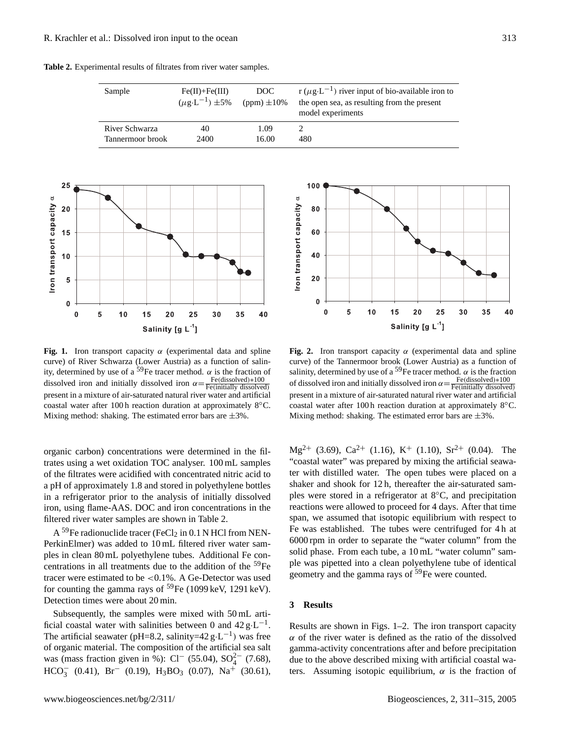**Table 2.** Experimental results of filtrates from river water samples.





**Fig. 1.** Iron transport capacity  $\alpha$  (experimental data and spline curve) of River Schwarza (Lower Austria) as a function of salinity, determined by use of a <sup>59</sup>Fe tracer method.  $\alpha$  is the fraction of dissolved iron and initially dissolved iron  $\alpha = \frac{\text{Fe(dissolved)} * 100}{\text{Fe(intially dissolved)}}$ present in a mixture of air-saturated natural river water and artificial coastal water after 100 h reaction duration at approximately 8◦C. Mixing method: shaking. The estimated error bars are  $\pm 3\%$ .

organic carbon) concentrations were determined in the filtrates using a wet oxidation TOC analyser. 100 mL samples of the filtrates were acidified with concentrated nitric acid to a pH of approximately 1.8 and stored in polyethylene bottles in a refrigerator prior to the analysis of initially dissolved iron, using flame-AAS. DOC and iron concentrations in the filtered river water samples are shown in Table 2.

A <sup>59</sup>Fe radionuclide tracer (FeCl<sub>2</sub> in 0.1 N HCl from NEN-PerkinElmer) was added to 10 mL filtered river water samples in clean 80 mL polyethylene tubes. Additional Fe concentrations in all treatments due to the addition of the <sup>59</sup>Fe tracer were estimated to be <0.1%. A Ge-Detector was used for counting the gamma rays of  $^{59}Fe$  (1099 keV, 1291 keV). Detection times were about 20 min.

Subsequently, the samples were mixed with 50 mL artificial coastal water with salinities between 0 and  $42 g \cdot L^{-1}$ . The artificial seawater (pH=8.2, salinity=42  $g \cdot L^{-1}$ ) was free of organic material. The composition of the artificial sea salt was (mass fraction given in %): Cl<sup>-</sup> (55.04), SO<sub>4</sub><sup>2</sup> (7.68),  $HCO_3^-$  (0.41),  $Br^-$  (0.19),  $H_3BO_3$  (0.07),  $Na^+$  (30.61),



**Fig. 2.** Iron transport capacity  $\alpha$  (experimental data and spline curve) of the Tannermoor brook (Lower Austria) as a function of salinity, determined by use of a <sup>59</sup>Fe tracer method.  $\alpha$  is the fraction of dissolved iron and initially dissolved iron  $\alpha = \frac{\text{Fe(dissolved)} * 100}{\text{Fe(intially dissolved)}}$ present in a mixture of air-saturated natural river water and artificial coastal water after 100 h reaction duration at approximately 8◦C. Mixing method: shaking. The estimated error bars are  $\pm 3\%$ .

 $Mg^{2+}$  (3.69), Ca<sup>2+</sup> (1.16), K<sup>+</sup> (1.10), Sr<sup>2+</sup> (0.04). The "coastal water" was prepared by mixing the artificial seawater with distilled water. The open tubes were placed on a shaker and shook for 12 h, thereafter the air-saturated samples were stored in a refrigerator at 8◦C, and precipitation reactions were allowed to proceed for 4 days. After that time span, we assumed that isotopic equilibrium with respect to Fe was established. The tubes were centrifuged for 4 h at 6000 rpm in order to separate the "water column" from the solid phase. From each tube, a  $10 \text{ mL}$  "water column" sample was pipetted into a clean polyethylene tube of identical geometry and the gamma rays of  $59Fe$  were counted.

## **3 Results**

Results are shown in Figs. 1–2. The iron transport capacity  $\alpha$  of the river water is defined as the ratio of the dissolved gamma-activity concentrations after and before precipitation due to the above described mixing with artificial coastal waters. Assuming isotopic equilibrium,  $\alpha$  is the fraction of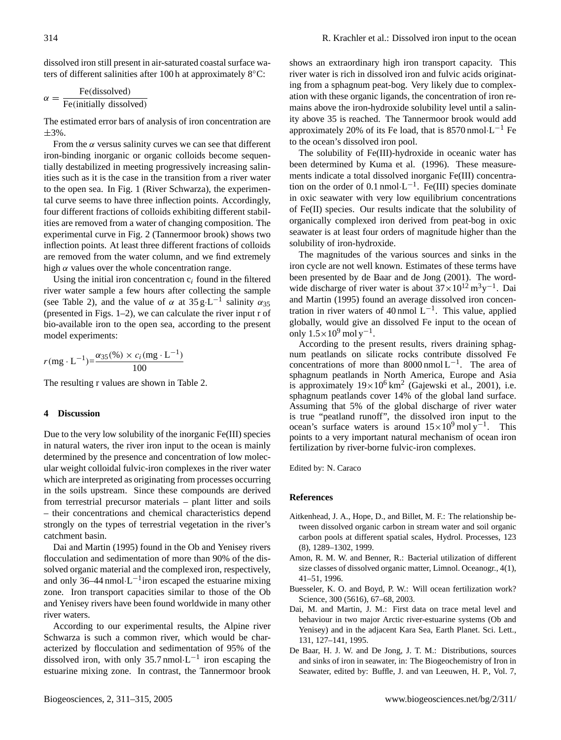dissolved iron still present in air-saturated coastal surface waters of different salinities after 100 h at approximately 8◦C:

$$
\alpha = \frac{\text{Fe(dissolved)}}{\text{Fe(initially dissolved)}}
$$

The estimated error bars of analysis of iron concentration are ±3%.

From the  $\alpha$  versus salinity curves we can see that different iron-binding inorganic or organic colloids become sequentially destabilized in meeting progressively increasing salinities such as it is the case in the transition from a river water to the open sea. In Fig. 1 (River Schwarza), the experimental curve seems to have three inflection points. Accordingly, four different fractions of colloids exhibiting different stabilities are removed from a water of changing composition. The experimental curve in Fig. 2 (Tannermoor brook) shows two inflection points. At least three different fractions of colloids are removed from the water column, and we find extremely high  $\alpha$  values over the whole concentration range.

Using the initial iron concentration  $c_i$  found in the filtered river water sample a few hours after collecting the sample (see Table 2), and the value of  $\alpha$  at 35 g·L<sup>-1</sup> salinity  $\alpha_{35}$ (presented in Figs. 1–2), we can calculate the river input r of bio-available iron to the open sea, according to the present model experiments:

$$
r(mg \cdot L^{-1}) = \frac{\alpha_{35}(\%)}{100} \times c_i(mg \cdot L^{-1})
$$

The resulting r values are shown in Table 2.

#### **4 Discussion**

Due to the very low solubility of the inorganic Fe(III) species in natural waters, the river iron input to the ocean is mainly determined by the presence and concentration of low molecular weight colloidal fulvic-iron complexes in the river water which are interpreted as originating from processes occurring in the soils upstream. Since these compounds are derived from terrestrial precursor materials – plant litter and soils – their concentrations and chemical characteristics depend strongly on the types of terrestrial vegetation in the river's catchment basin.

Dai and Martin (1995) found in the Ob and Yenisey rivers flocculation and sedimentation of more than 90% of the dissolved organic material and the complexed iron, respectively, and only  $36-44$  nmol $\cdot L^{-1}$  iron escaped the estuarine mixing zone. Iron transport capacities similar to those of the Ob and Yenisey rivers have been found worldwide in many other river waters.

According to our experimental results, the Alpine river Schwarza is such a common river, which would be characterized by flocculation and sedimentation of 95% of the dissolved iron, with only 35.7 nmol $\cdot L^{-1}$  iron escaping the estuarine mixing zone. In contrast, the Tannermoor brook shows an extraordinary high iron transport capacity. This river water is rich in dissolved iron and fulvic acids originating from a sphagnum peat-bog. Very likely due to complexation with these organic ligands, the concentration of iron remains above the iron-hydroxide solubility level until a salinity above 35 is reached. The Tannermoor brook would add approximately 20% of its Fe load, that is  $8570$  nmol $\cdot L^{-1}$  Fe to the ocean's dissolved iron pool.

The solubility of Fe(III)-hydroxide in oceanic water has been determined by Kuma et al. (1996). These measurements indicate a total dissolved inorganic Fe(III) concentration on the order of 0.1 nmol $\cdot L^{-1}$ . Fe(III) species dominate in oxic seawater with very low equilibrium concentrations of Fe(II) species. Our results indicate that the solubility of organically complexed iron derived from peat-bog in oxic seawater is at least four orders of magnitude higher than the solubility of iron-hydroxide.

The magnitudes of the various sources and sinks in the iron cycle are not well known. Estimates of these terms have been presented by de Baar and de Jong (2001). The wordwide discharge of river water is about  $37 \times 10^{12}$  m<sup>3</sup>y<sup>-1</sup>. Dai and Martin (1995) found an average dissolved iron concentration in river waters of 40 nmol  $L^{-1}$ . This value, applied globally, would give an dissolved Fe input to the ocean of only  $1.5 \times 10^9$  mol y<sup>-1</sup>.

According to the present results, rivers draining sphagnum peatlands on silicate rocks contribute dissolved Fe concentrations of more than  $8000$  nmol L<sup>-1</sup>. The area of sphagnum peatlands in North America, Europe and Asia is approximately  $19 \times 10^6$  km<sup>2</sup> (Gajewski et al., 2001), i.e. sphagnum peatlands cover 14% of the global land surface. Assuming that 5% of the global discharge of river water is true "peatland runoff", the dissolved iron input to the ocean's surface waters is around  $15 \times 10^9$  mol y<sup>-1</sup>. This points to a very important natural mechanism of ocean iron fertilization by river-borne fulvic-iron complexes.

Edited by: N. Caraco

#### **References**

- Aitkenhead, J. A., Hope, D., and Billet, M. F.: The relationship between dissolved organic carbon in stream water and soil organic carbon pools at different spatial scales, Hydrol. Processes, 123 (8), 1289–1302, 1999.
- Amon, R. M. W. and Benner, R.: Bacterial utilization of different size classes of dissolved organic matter, Limnol. Oceanogr., 4(1), 41–51, 1996.
- Buesseler, K. O. and Boyd, P. W.: Will ocean fertilization work? Science, 300 (5616), 67–68, 2003.
- Dai, M. and Martin, J. M.: First data on trace metal level and behaviour in two major Arctic river-estuarine systems (Ob and Yenisey) and in the adjacent Kara Sea, Earth Planet. Sci. Lett., 131, 127–141, 1995.
- De Baar, H. J. W. and De Jong, J. T. M.: Distributions, sources and sinks of iron in seawater, in: The Biogeochemistry of Iron in Seawater, edited by: Buffle, J. and van Leeuwen, H. P., Vol. 7,